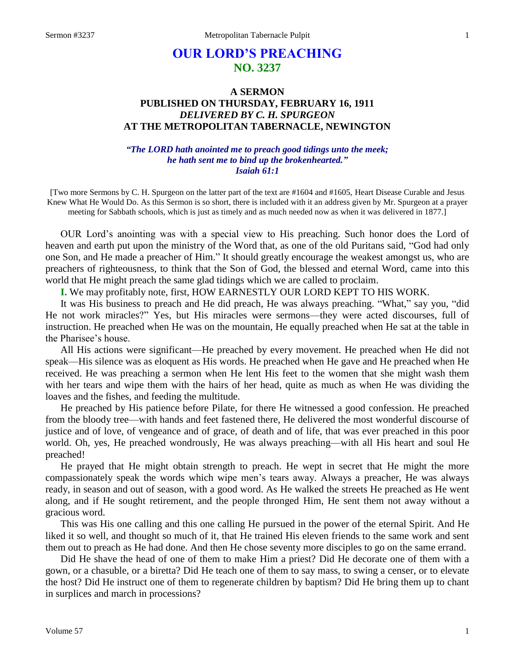# **OUR LORD'S PREACHING NO. 3237**

## **A SERMON PUBLISHED ON THURSDAY, FEBRUARY 16, 1911** *DELIVERED BY C. H. SPURGEON* **AT THE METROPOLITAN TABERNACLE, NEWINGTON**

### *"The LORD hath anointed me to preach good tidings unto the meek; he hath sent me to bind up the brokenhearted." Isaiah 61:1*

[Two more Sermons by C. H. Spurgeon on the latter part of the text are #1604 and #1605, Heart Disease Curable and Jesus Knew What He Would Do. As this Sermon is so short, there is included with it an address given by Mr. Spurgeon at a prayer meeting for Sabbath schools, which is just as timely and as much needed now as when it was delivered in 1877.]

OUR Lord's anointing was with a special view to His preaching. Such honor does the Lord of heaven and earth put upon the ministry of the Word that, as one of the old Puritans said, "God had only one Son, and He made a preacher of Him." It should greatly encourage the weakest amongst us, who are preachers of righteousness, to think that the Son of God, the blessed and eternal Word, came into this world that He might preach the same glad tidings which we are called to proclaim.

**I.** We may profitably note, first, HOW EARNESTLY OUR LORD KEPT TO HIS WORK.

It was His business to preach and He did preach, He was always preaching. "What," say you, "did He not work miracles?" Yes, but His miracles were sermons—they were acted discourses, full of instruction. He preached when He was on the mountain, He equally preached when He sat at the table in the Pharisee's house.

All His actions were significant—He preached by every movement. He preached when He did not speak—His silence was as eloquent as His words. He preached when He gave and He preached when He received. He was preaching a sermon when He lent His feet to the women that she might wash them with her tears and wipe them with the hairs of her head, quite as much as when He was dividing the loaves and the fishes, and feeding the multitude.

He preached by His patience before Pilate, for there He witnessed a good confession. He preached from the bloody tree—with hands and feet fastened there, He delivered the most wonderful discourse of justice and of love, of vengeance and of grace, of death and of life, that was ever preached in this poor world. Oh, yes, He preached wondrously, He was always preaching—with all His heart and soul He preached!

He prayed that He might obtain strength to preach. He wept in secret that He might the more compassionately speak the words which wipe men's tears away. Always a preacher, He was always ready, in season and out of season, with a good word. As He walked the streets He preached as He went along, and if He sought retirement, and the people thronged Him, He sent them not away without a gracious word.

This was His one calling and this one calling He pursued in the power of the eternal Spirit. And He liked it so well, and thought so much of it, that He trained His eleven friends to the same work and sent them out to preach as He had done. And then He chose seventy more disciples to go on the same errand.

Did He shave the head of one of them to make Him a priest? Did He decorate one of them with a gown, or a chasuble, or a biretta? Did He teach one of them to say mass, to swing a censer, or to elevate the host? Did He instruct one of them to regenerate children by baptism? Did He bring them up to chant in surplices and march in processions?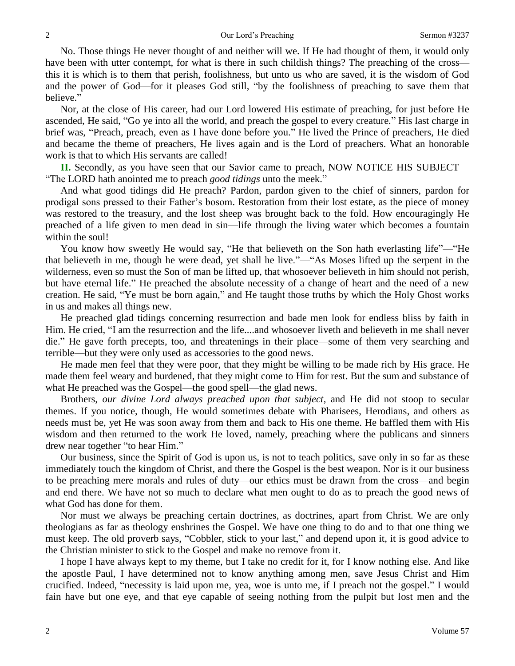No. Those things He never thought of and neither will we. If He had thought of them, it would only have been with utter contempt, for what is there in such childish things? The preaching of the cross this it is which is to them that perish, foolishness, but unto us who are saved, it is the wisdom of God and the power of God—for it pleases God still, "by the foolishness of preaching to save them that believe."

Nor, at the close of His career, had our Lord lowered His estimate of preaching, for just before He ascended, He said, "Go ye into all the world, and preach the gospel to every creature." His last charge in brief was, "Preach, preach, even as I have done before you." He lived the Prince of preachers, He died and became the theme of preachers, He lives again and is the Lord of preachers. What an honorable work is that to which His servants are called!

**II.** Secondly, as you have seen that our Savior came to preach, NOW NOTICE HIS SUBJECT— "The LORD hath anointed me to preach *good tidings* unto the meek."

And what good tidings did He preach? Pardon, pardon given to the chief of sinners, pardon for prodigal sons pressed to their Father's bosom. Restoration from their lost estate, as the piece of money was restored to the treasury, and the lost sheep was brought back to the fold. How encouragingly He preached of a life given to men dead in sin—life through the living water which becomes a fountain within the soul!

You know how sweetly He would say, "He that believeth on the Son hath everlasting life"—"He that believeth in me, though he were dead, yet shall he live."—"As Moses lifted up the serpent in the wilderness, even so must the Son of man be lifted up, that whosoever believeth in him should not perish, but have eternal life." He preached the absolute necessity of a change of heart and the need of a new creation. He said, "Ye must be born again," and He taught those truths by which the Holy Ghost works in us and makes all things new.

He preached glad tidings concerning resurrection and bade men look for endless bliss by faith in Him. He cried, "I am the resurrection and the life....and whosoever liveth and believeth in me shall never die." He gave forth precepts, too, and threatenings in their place—some of them very searching and terrible—but they were only used as accessories to the good news.

He made men feel that they were poor, that they might be willing to be made rich by His grace. He made them feel weary and burdened, that they might come to Him for rest. But the sum and substance of what He preached was the Gospel—the good spell—the glad news.

Brothers, *our divine Lord always preached upon that subject*, and He did not stoop to secular themes. If you notice, though, He would sometimes debate with Pharisees, Herodians, and others as needs must be, yet He was soon away from them and back to His one theme. He baffled them with His wisdom and then returned to the work He loved, namely, preaching where the publicans and sinners drew near together "to hear Him."

Our business, since the Spirit of God is upon us, is not to teach politics, save only in so far as these immediately touch the kingdom of Christ, and there the Gospel is the best weapon. Nor is it our business to be preaching mere morals and rules of duty—our ethics must be drawn from the cross—and begin and end there. We have not so much to declare what men ought to do as to preach the good news of what God has done for them.

Nor must we always be preaching certain doctrines, as doctrines, apart from Christ. We are only theologians as far as theology enshrines the Gospel. We have one thing to do and to that one thing we must keep. The old proverb says, "Cobbler, stick to your last," and depend upon it, it is good advice to the Christian minister to stick to the Gospel and make no remove from it.

I hope I have always kept to my theme, but I take no credit for it, for I know nothing else. And like the apostle Paul, I have determined not to know anything among men, save Jesus Christ and Him crucified. Indeed, "necessity is laid upon me, yea, woe is unto me, if I preach not the gospel." I would fain have but one eye, and that eye capable of seeing nothing from the pulpit but lost men and the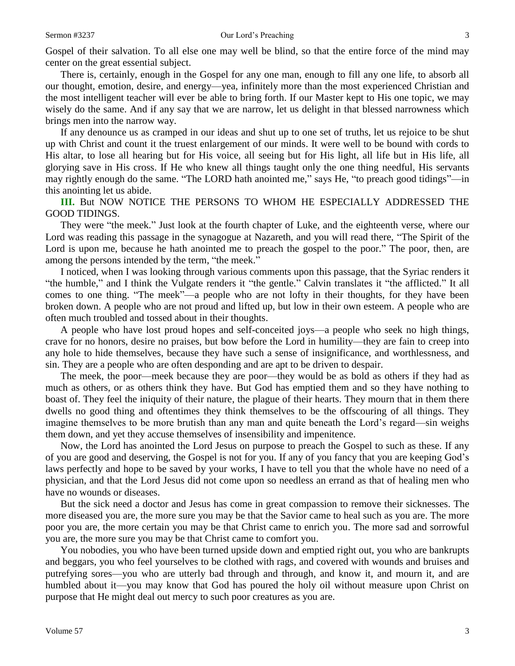Gospel of their salvation. To all else one may well be blind, so that the entire force of the mind may center on the great essential subject.

There is, certainly, enough in the Gospel for any one man, enough to fill any one life, to absorb all our thought, emotion, desire, and energy—yea, infinitely more than the most experienced Christian and the most intelligent teacher will ever be able to bring forth. If our Master kept to His one topic, we may wisely do the same. And if any say that we are narrow, let us delight in that blessed narrowness which brings men into the narrow way.

If any denounce us as cramped in our ideas and shut up to one set of truths, let us rejoice to be shut up with Christ and count it the truest enlargement of our minds. It were well to be bound with cords to His altar, to lose all hearing but for His voice, all seeing but for His light, all life but in His life, all glorying save in His cross. If He who knew all things taught only the one thing needful, His servants may rightly enough do the same. "The LORD hath anointed me," says He, "to preach good tidings"—in this anointing let us abide.

**III.** But NOW NOTICE THE PERSONS TO WHOM HE ESPECIALLY ADDRESSED THE GOOD TIDINGS.

They were "the meek." Just look at the fourth chapter of Luke, and the eighteenth verse, where our Lord was reading this passage in the synagogue at Nazareth, and you will read there, "The Spirit of the Lord is upon me, because he hath anointed me to preach the gospel to the poor." The poor, then, are among the persons intended by the term, "the meek."

I noticed, when I was looking through various comments upon this passage, that the Syriac renders it "the humble," and I think the Vulgate renders it "the gentle." Calvin translates it "the afflicted." It all comes to one thing. "The meek"—a people who are not lofty in their thoughts, for they have been broken down. A people who are not proud and lifted up, but low in their own esteem. A people who are often much troubled and tossed about in their thoughts.

A people who have lost proud hopes and self-conceited joys—a people who seek no high things, crave for no honors, desire no praises, but bow before the Lord in humility—they are fain to creep into any hole to hide themselves, because they have such a sense of insignificance, and worthlessness, and sin. They are a people who are often desponding and are apt to be driven to despair.

The meek, the poor—meek because they are poor—they would be as bold as others if they had as much as others, or as others think they have. But God has emptied them and so they have nothing to boast of. They feel the iniquity of their nature, the plague of their hearts. They mourn that in them there dwells no good thing and oftentimes they think themselves to be the offscouring of all things. They imagine themselves to be more brutish than any man and quite beneath the Lord's regard—sin weighs them down, and yet they accuse themselves of insensibility and impenitence.

Now, the Lord has anointed the Lord Jesus on purpose to preach the Gospel to such as these. If any of you are good and deserving, the Gospel is not for you. If any of you fancy that you are keeping God's laws perfectly and hope to be saved by your works, I have to tell you that the whole have no need of a physician, and that the Lord Jesus did not come upon so needless an errand as that of healing men who have no wounds or diseases.

But the sick need a doctor and Jesus has come in great compassion to remove their sicknesses. The more diseased you are, the more sure you may be that the Savior came to heal such as you are. The more poor you are, the more certain you may be that Christ came to enrich you. The more sad and sorrowful you are, the more sure you may be that Christ came to comfort you.

You nobodies, you who have been turned upside down and emptied right out, you who are bankrupts and beggars, you who feel yourselves to be clothed with rags, and covered with wounds and bruises and putrefying sores—you who are utterly bad through and through, and know it, and mourn it, and are humbled about it—you may know that God has poured the holy oil without measure upon Christ on purpose that He might deal out mercy to such poor creatures as you are.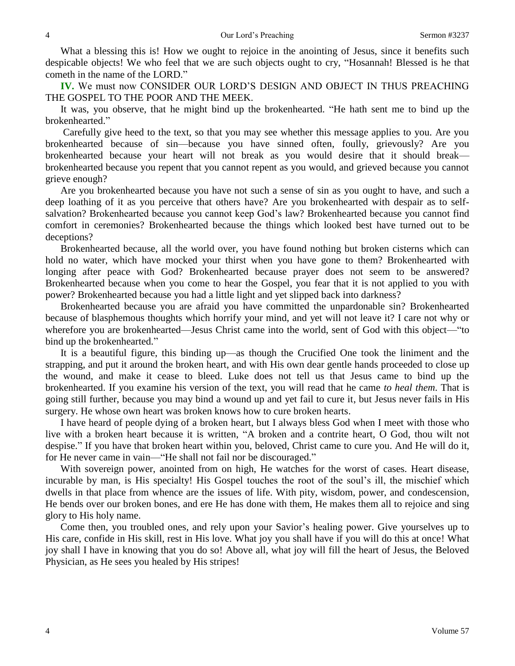What a blessing this is! How we ought to rejoice in the anointing of Jesus, since it benefits such despicable objects! We who feel that we are such objects ought to cry, "Hosannah! Blessed is he that cometh in the name of the LORD."

**IV.** We must now CONSIDER OUR LORD'S DESIGN AND OBJECT IN THUS PREACHING THE GOSPEL TO THE POOR AND THE MEEK.

It was, you observe, that he might bind up the brokenhearted. "He hath sent me to bind up the brokenhearted."

Carefully give heed to the text, so that you may see whether this message applies to you. Are you brokenhearted because of sin—because you have sinned often, foully, grievously? Are you brokenhearted because your heart will not break as you would desire that it should break brokenhearted because you repent that you cannot repent as you would, and grieved because you cannot grieve enough?

Are you brokenhearted because you have not such a sense of sin as you ought to have, and such a deep loathing of it as you perceive that others have? Are you brokenhearted with despair as to selfsalvation? Brokenhearted because you cannot keep God's law? Brokenhearted because you cannot find comfort in ceremonies? Brokenhearted because the things which looked best have turned out to be deceptions?

Brokenhearted because, all the world over, you have found nothing but broken cisterns which can hold no water, which have mocked your thirst when you have gone to them? Brokenhearted with longing after peace with God? Brokenhearted because prayer does not seem to be answered? Brokenhearted because when you come to hear the Gospel, you fear that it is not applied to you with power? Brokenhearted because you had a little light and yet slipped back into darkness?

Brokenhearted because you are afraid you have committed the unpardonable sin? Brokenhearted because of blasphemous thoughts which horrify your mind, and yet will not leave it? I care not why or wherefore you are brokenhearted—Jesus Christ came into the world, sent of God with this object—"to bind up the brokenhearted."

It is a beautiful figure, this binding up—as though the Crucified One took the liniment and the strapping, and put it around the broken heart, and with His own dear gentle hands proceeded to close up the wound, and make it cease to bleed. Luke does not tell us that Jesus came to bind up the brokenhearted. If you examine his version of the text, you will read that he came *to heal them*. That is going still further, because you may bind a wound up and yet fail to cure it, but Jesus never fails in His surgery. He whose own heart was broken knows how to cure broken hearts.

I have heard of people dying of a broken heart, but I always bless God when I meet with those who live with a broken heart because it is written, "A broken and a contrite heart, O God, thou wilt not despise." If you have that broken heart within you, beloved, Christ came to cure you. And He will do it, for He never came in vain—"He shall not fail nor be discouraged."

With sovereign power, anointed from on high, He watches for the worst of cases. Heart disease, incurable by man, is His specialty! His Gospel touches the root of the soul's ill, the mischief which dwells in that place from whence are the issues of life. With pity, wisdom, power, and condescension, He bends over our broken bones, and ere He has done with them, He makes them all to rejoice and sing glory to His holy name.

Come then, you troubled ones, and rely upon your Savior's healing power. Give yourselves up to His care, confide in His skill, rest in His love. What joy you shall have if you will do this at once! What joy shall I have in knowing that you do so! Above all, what joy will fill the heart of Jesus, the Beloved Physician, as He sees you healed by His stripes!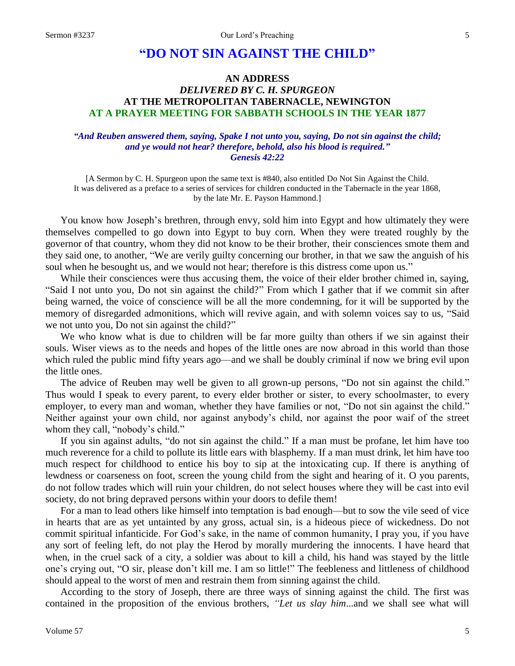## **"DO NOT SIN AGAINST THE CHILD"**

## **AN ADDRESS** *DELIVERED BY C. H. SPURGEON* **AT THE METROPOLITAN TABERNACLE, NEWINGTON AT A PRAYER MEETING FOR SABBATH SCHOOLS IN THE YEAR 1877**

### *"And Reuben answered them, saying, Spake I not unto you, saying, Do not sin against the child; and ye would not hear? therefore, behold, also his blood is required." Genesis 42:22*

[A Sermon by C. H. Spurgeon upon the same text is #840, also entitled Do Not Sin Against the Child. It was delivered as a preface to a series of services for children conducted in the Tabernacle in the year 1868, by the late Mr. E. Payson Hammond.]

You know how Joseph's brethren, through envy, sold him into Egypt and how ultimately they were themselves compelled to go down into Egypt to buy corn. When they were treated roughly by the governor of that country, whom they did not know to be their brother, their consciences smote them and they said one, to another, "We are verily guilty concerning our brother, in that we saw the anguish of his soul when he besought us, and we would not hear; therefore is this distress come upon us."

While their consciences were thus accusing them, the voice of their elder brother chimed in, saying, "Said I not unto you, Do not sin against the child?" From which I gather that if we commit sin after being warned, the voice of conscience will be all the more condemning, for it will be supported by the memory of disregarded admonitions, which will revive again, and with solemn voices say to us, "Said we not unto you, Do not sin against the child?"

We who know what is due to children will be far more guilty than others if we sin against their souls. Wiser views as to the needs and hopes of the little ones are now abroad in this world than those which ruled the public mind fifty years ago—and we shall be doubly criminal if now we bring evil upon the little ones.

The advice of Reuben may well be given to all grown-up persons, "Do not sin against the child." Thus would I speak to every parent, to every elder brother or sister, to every schoolmaster, to every employer, to every man and woman, whether they have families or not, "Do not sin against the child." Neither against your own child, nor against anybody's child, nor against the poor waif of the street whom they call, "nobody's child."

If you sin against adults, "do not sin against the child." If a man must be profane, let him have too much reverence for a child to pollute its little ears with blasphemy. If a man must drink, let him have too much respect for childhood to entice his boy to sip at the intoxicating cup. If there is anything of lewdness or coarseness on foot, screen the young child from the sight and hearing of it. O you parents, do not follow trades which will ruin your children, do not select houses where they will be cast into evil society, do not bring depraved persons within your doors to defile them!

For a man to lead others like himself into temptation is bad enough—but to sow the vile seed of vice in hearts that are as yet untainted by any gross, actual sin, is a hideous piece of wickedness. Do not commit spiritual infanticide. For God's sake, in the name of common humanity, I pray you, if you have any sort of feeling left, do not play the Herod by morally murdering the innocents. I have heard that when, in the cruel sack of a city, a soldier was about to kill a child, his hand was stayed by the little one's crying out, "O sir, please don't kill me. I am so little!" The feebleness and littleness of childhood should appeal to the worst of men and restrain them from sinning against the child.

According to the story of Joseph, there are three ways of sinning against the child. The first was contained in the proposition of the envious brothers, *"Let us slay him*...and we shall see what will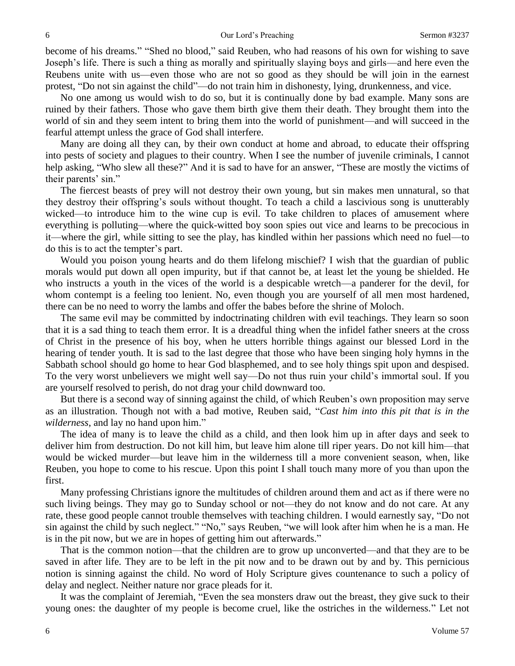become of his dreams." "Shed no blood," said Reuben, who had reasons of his own for wishing to save Joseph's life. There is such a thing as morally and spiritually slaying boys and girls—and here even the Reubens unite with us—even those who are not so good as they should be will join in the earnest protest, "Do not sin against the child"—do not train him in dishonesty, lying, drunkenness, and vice.

No one among us would wish to do so, but it is continually done by bad example. Many sons are ruined by their fathers. Those who gave them birth give them their death. They brought them into the world of sin and they seem intent to bring them into the world of punishment—and will succeed in the fearful attempt unless the grace of God shall interfere.

Many are doing all they can, by their own conduct at home and abroad, to educate their offspring into pests of society and plagues to their country. When I see the number of juvenile criminals, I cannot help asking, "Who slew all these?" And it is sad to have for an answer, "These are mostly the victims of their parents' sin."

The fiercest beasts of prey will not destroy their own young, but sin makes men unnatural, so that they destroy their offspring's souls without thought. To teach a child a lascivious song is unutterably wicked—to introduce him to the wine cup is evil. To take children to places of amusement where everything is polluting—where the quick-witted boy soon spies out vice and learns to be precocious in it—where the girl, while sitting to see the play, has kindled within her passions which need no fuel—to do this is to act the tempter's part.

Would you poison young hearts and do them lifelong mischief? I wish that the guardian of public morals would put down all open impurity, but if that cannot be, at least let the young be shielded. He who instructs a youth in the vices of the world is a despicable wretch—a panderer for the devil, for whom contempt is a feeling too lenient. No, even though you are yourself of all men most hardened, there can be no need to worry the lambs and offer the babes before the shrine of Moloch.

The same evil may be committed by indoctrinating children with evil teachings. They learn so soon that it is a sad thing to teach them error. It is a dreadful thing when the infidel father sneers at the cross of Christ in the presence of his boy, when he utters horrible things against our blessed Lord in the hearing of tender youth. It is sad to the last degree that those who have been singing holy hymns in the Sabbath school should go home to hear God blasphemed, and to see holy things spit upon and despised. To the very worst unbelievers we might well say—Do not thus ruin your child's immortal soul. If you are yourself resolved to perish, do not drag your child downward too.

But there is a second way of sinning against the child, of which Reuben's own proposition may serve as an illustration. Though not with a bad motive, Reuben said, "*Cast him into this pit that is in the wilderness*, and lay no hand upon him."

The idea of many is to leave the child as a child, and then look him up in after days and seek to deliver him from destruction. Do not kill him, but leave him alone till riper years. Do not kill him—that would be wicked murder—but leave him in the wilderness till a more convenient season, when, like Reuben, you hope to come to his rescue. Upon this point I shall touch many more of you than upon the first.

Many professing Christians ignore the multitudes of children around them and act as if there were no such living beings. They may go to Sunday school or not—they do not know and do not care. At any rate, these good people cannot trouble themselves with teaching children. I would earnestly say, "Do not sin against the child by such neglect." "No," says Reuben, "we will look after him when he is a man. He is in the pit now, but we are in hopes of getting him out afterwards."

That is the common notion—that the children are to grow up unconverted—and that they are to be saved in after life. They are to be left in the pit now and to be drawn out by and by. This pernicious notion is sinning against the child. No word of Holy Scripture gives countenance to such a policy of delay and neglect. Neither nature nor grace pleads for it.

It was the complaint of Jeremiah, "Even the sea monsters draw out the breast, they give suck to their young ones: the daughter of my people is become cruel, like the ostriches in the wilderness." Let not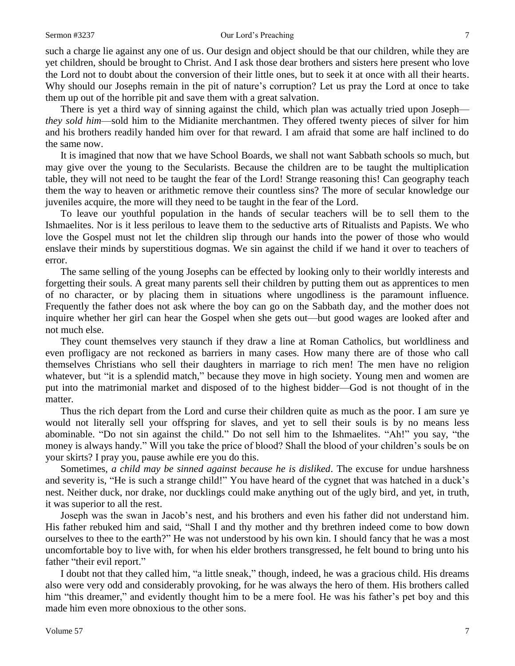#### Sermon #3237 **Our Lord's Preaching 7** 7

such a charge lie against any one of us. Our design and object should be that our children, while they are yet children, should be brought to Christ. And I ask those dear brothers and sisters here present who love the Lord not to doubt about the conversion of their little ones, but to seek it at once with all their hearts. Why should our Josephs remain in the pit of nature's corruption? Let us pray the Lord at once to take them up out of the horrible pit and save them with a great salvation.

There is yet a third way of sinning against the child, which plan was actually tried upon Joseph *they sold him*—sold him to the Midianite merchantmen. They offered twenty pieces of silver for him and his brothers readily handed him over for that reward. I am afraid that some are half inclined to do the same now.

It is imagined that now that we have School Boards, we shall not want Sabbath schools so much, but may give over the young to the Secularists. Because the children are to be taught the multiplication table, they will not need to be taught the fear of the Lord! Strange reasoning this! Can geography teach them the way to heaven or arithmetic remove their countless sins? The more of secular knowledge our juveniles acquire, the more will they need to be taught in the fear of the Lord.

To leave our youthful population in the hands of secular teachers will be to sell them to the Ishmaelites. Nor is it less perilous to leave them to the seductive arts of Ritualists and Papists. We who love the Gospel must not let the children slip through our hands into the power of those who would enslave their minds by superstitious dogmas. We sin against the child if we hand it over to teachers of error.

The same selling of the young Josephs can be effected by looking only to their worldly interests and forgetting their souls. A great many parents sell their children by putting them out as apprentices to men of no character, or by placing them in situations where ungodliness is the paramount influence. Frequently the father does not ask where the boy can go on the Sabbath day, and the mother does not inquire whether her girl can hear the Gospel when she gets out—but good wages are looked after and not much else.

They count themselves very staunch if they draw a line at Roman Catholics, but worldliness and even profligacy are not reckoned as barriers in many cases. How many there are of those who call themselves Christians who sell their daughters in marriage to rich men! The men have no religion whatever, but "it is a splendid match," because they move in high society. Young men and women are put into the matrimonial market and disposed of to the highest bidder—God is not thought of in the matter.

Thus the rich depart from the Lord and curse their children quite as much as the poor. I am sure ye would not literally sell your offspring for slaves, and yet to sell their souls is by no means less abominable. "Do not sin against the child." Do not sell him to the Ishmaelites. "Ah!" you say, "the money is always handy." Will you take the price of blood? Shall the blood of your children's souls be on your skirts? I pray you, pause awhile ere you do this.

Sometimes, *a child may be sinned against because he is disliked*. The excuse for undue harshness and severity is, "He is such a strange child!" You have heard of the cygnet that was hatched in a duck's nest. Neither duck, nor drake, nor ducklings could make anything out of the ugly bird, and yet, in truth, it was superior to all the rest.

Joseph was the swan in Jacob's nest, and his brothers and even his father did not understand him. His father rebuked him and said, "Shall I and thy mother and thy brethren indeed come to bow down ourselves to thee to the earth?" He was not understood by his own kin. I should fancy that he was a most uncomfortable boy to live with, for when his elder brothers transgressed, he felt bound to bring unto his father "their evil report."

I doubt not that they called him, "a little sneak," though, indeed, he was a gracious child. His dreams also were very odd and considerably provoking, for he was always the hero of them. His brothers called him "this dreamer," and evidently thought him to be a mere fool. He was his father's pet boy and this made him even more obnoxious to the other sons.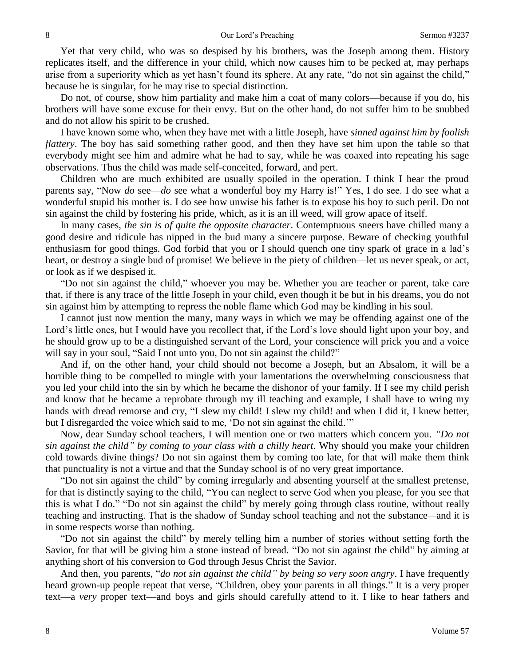Yet that very child, who was so despised by his brothers, was the Joseph among them. History replicates itself, and the difference in your child, which now causes him to be pecked at, may perhaps arise from a superiority which as yet hasn't found its sphere. At any rate, "do not sin against the child," because he is singular, for he may rise to special distinction.

Do not, of course, show him partiality and make him a coat of many colors—because if you do, his brothers will have some excuse for their envy. But on the other hand, do not suffer him to be snubbed and do not allow his spirit to be crushed.

I have known some who, when they have met with a little Joseph, have *sinned against him by foolish flattery*. The boy has said something rather good, and then they have set him upon the table so that everybody might see him and admire what he had to say, while he was coaxed into repeating his sage observations. Thus the child was made self-conceited, forward, and pert.

Children who are much exhibited are usually spoiled in the operation. I think I hear the proud parents say, "Now *do* see—*do* see what a wonderful boy my Harry is!" Yes, I do see. I do see what a wonderful stupid his mother is. I do see how unwise his father is to expose his boy to such peril. Do not sin against the child by fostering his pride, which, as it is an ill weed, will grow apace of itself.

In many cases, *the sin is of quite the opposite character*. Contemptuous sneers have chilled many a good desire and ridicule has nipped in the bud many a sincere purpose. Beware of checking youthful enthusiasm for good things. God forbid that you or I should quench one tiny spark of grace in a lad's heart, or destroy a single bud of promise! We believe in the piety of children—let us never speak, or act, or look as if we despised it.

"Do not sin against the child," whoever you may be. Whether you are teacher or parent, take care that, if there is any trace of the little Joseph in your child, even though it be but in his dreams, you do not sin against him by attempting to repress the noble flame which God may be kindling in his soul.

I cannot just now mention the many, many ways in which we may be offending against one of the Lord's little ones, but I would have you recollect that, if the Lord's love should light upon your boy, and he should grow up to be a distinguished servant of the Lord, your conscience will prick you and a voice will say in your soul, "Said I not unto you, Do not sin against the child?"

And if, on the other hand, your child should not become a Joseph, but an Absalom, it will be a horrible thing to be compelled to mingle with your lamentations the overwhelming consciousness that you led your child into the sin by which he became the dishonor of your family. If I see my child perish and know that he became a reprobate through my ill teaching and example, I shall have to wring my hands with dread remorse and cry, "I slew my child! I slew my child! and when I did it, I knew better, but I disregarded the voice which said to me, 'Do not sin against the child.'"

Now, dear Sunday school teachers, I will mention one or two matters which concern you. *"Do not sin against the child" by coming to your class with a chilly heart*. Why should you make your children cold towards divine things? Do not sin against them by coming too late, for that will make them think that punctuality is not a virtue and that the Sunday school is of no very great importance.

"Do not sin against the child" by coming irregularly and absenting yourself at the smallest pretense, for that is distinctly saying to the child, "You can neglect to serve God when you please, for you see that this is what I do." "Do not sin against the child" by merely going through class routine, without really teaching and instructing. That is the shadow of Sunday school teaching and not the substance*—*and it is in some respects worse than nothing.

"Do not sin against the child" by merely telling him a number of stories without setting forth the Savior, for that will be giving him a stone instead of bread. "Do not sin against the child" by aiming at anything short of his conversion to God through Jesus Christ the Savior.

And then, you parents, "*do not sin against the child" by being so very soon angry*. I have frequently heard grown-up people repeat that verse, "Children, obey your parents in all things." It is a very proper text—a *very* proper text—and boys and girls should carefully attend to it. I like to hear fathers and